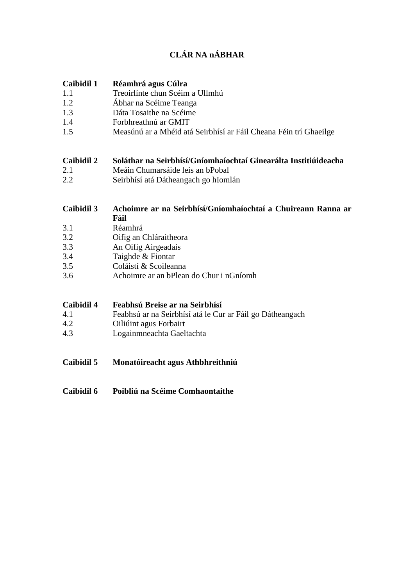# **CLÁR NA nÁBHAR**

#### **Caibidil 1 Réamhrá agus Cúlra**

- 1.1 Treoirlínte chun Scéim a Ullmhú
- 1.2 Ábhar na Scéime Teanga
- 1.3 Dáta Tosaithe na Scéime
- 1.4 Forbhreathnú ar GMIT
- 1.5 Measúnú ar a Mhéid atá Seirbhísí ar Fáil Cheana Féin trí Ghaeilge

#### **Caibidil 2 Soláthar na Seirbhísí/Gníomhaíochtaí Ginearálta Institiúideacha**

- 2.1 Meáin Chumarsáide leis an bPobal
- 2.2 Seirbhísí atá Dátheangach go hIomlán

#### **Caibidil 3 Achoimre ar na Seirbhísí/Gníomhaíochtaí a Chuireann Ranna ar Fáil**

- 3.1 Réamhrá
- 3.2 Oifig an Chláraitheora
- 3.3 An Oifig Airgeadais
- 3.4 Taighde & Fiontar
- 3.5 Coláistí & Scoileanna
- 3.6 Achoimre ar an bPlean do Chur i nGníomh

### **Caibidil 4 Feabhsú Breise ar na Seirbhísí**

- 4.1 Feabhsú ar na Seirbhísí atá le Cur ar Fáil go Dátheangach
- 4.2 Oiliúint agus Forbairt
- 4.3 Logainmneachta Gaeltachta
- **Caibidil 5 Monatóireacht agus Athbhreithniú**
- **Caibidil 6 Poibliú na Scéime Comhaontaithe**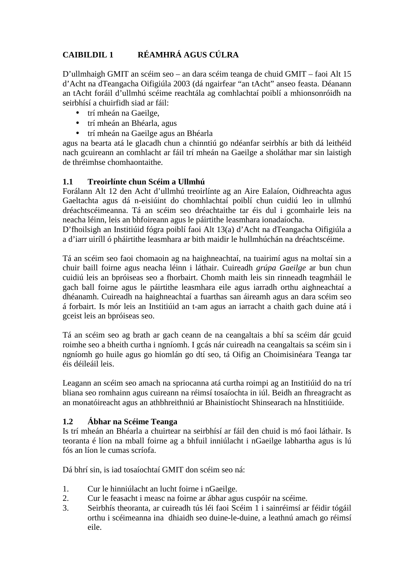# **CAIBILDIL 1 RÉAMHRÁ AGUS CÚLRA**

D'ullmhaigh GMIT an scéim seo – an dara scéim teanga de chuid GMIT – faoi Alt 15 d'Acht na dTeangacha Oifigiúla 2003 (dá ngairfear "an tAcht" anseo feasta. Déanann an tAcht foráil d'ullmhú scéime reachtála ag comhlachtaí poiblí a mhionsonróidh na seirbhísí a chuirfidh siad ar fáil:

- trí mheán na Gaeilge,
- trí mheán an Bhéarla, agus
- trí mheán na Gaeilge agus an Bhéarla

agus na bearta atá le glacadh chun a chinntiú go ndéanfar seirbhís ar bith dá leithéid nach gcuireann an comhlacht ar fáil trí mheán na Gaeilge a sholáthar mar sin laistigh de thréimhse chomhaontaithe.

### **1.1 Treoirlínte chun Scéim a Ullmhú**

Forálann Alt 12 den Acht d'ullmhú treoirlínte ag an Aire Ealaíon, Oidhreachta agus Gaeltachta agus dá n-eisiúint do chomhlachtaí poiblí chun cuidiú leo in ullmhú dréachtscéimeanna. Tá an scéim seo dréachtaithe tar éis dul i gcomhairle leis na neacha léinn, leis an bhfoireann agus le páirtithe leasmhara ionadaíocha.

D'fhoilsigh an Institiúid fógra poiblí faoi Alt 13(a) d'Acht na dTeangacha Oifigiúla a a d'iarr uiríll ó pháirtithe leasmhara ar bith maidir le hullmhúchán na dréachtscéime.

Tá an scéim seo faoi chomaoin ag na haighneachtaí, na tuairimí agus na moltaí sin a chuir baill foirne agus neacha léinn i láthair. Cuireadh *grúpa Gaeilge* ar bun chun cuidiú leis an bpróiseas seo a fhorbairt. Chomh maith leis sin rinneadh teagmháil le gach ball foirne agus le páirtithe leasmhara eile agus iarradh orthu aighneachtaí a dhéanamh. Cuireadh na haighneachtaí a fuarthas san áireamh agus an dara scéim seo á forbairt. Is mór leis an Institiúid an t-am agus an iarracht a chaith gach duine atá i gceist leis an bpróiseas seo.

Tá an scéim seo ag brath ar gach ceann de na ceangaltais a bhí sa scéim dár gcuid roimhe seo a bheith curtha i ngníomh. I gcás nár cuireadh na ceangaltais sa scéim sin i ngníomh go huile agus go hiomlán go dtí seo, tá Oifig an Choimisinéara Teanga tar éis déileáil leis.

Leagann an scéim seo amach na spriocanna atá curtha roimpi ag an Institiúid do na trí bliana seo romhainn agus cuireann na réimsí tosaíochta in iúl. Beidh an fhreagracht as an monatóireacht agus an athbhreithniú ar Bhainistíocht Shinsearach na hInstitiúide.

### **1.2 Ábhar na Scéime Teanga**

Is trí mheán an Bhéarla a chuirtear na seirbhísí ar fáil den chuid is mó faoi láthair. Is teoranta é líon na mball foirne ag a bhfuil inniúlacht i nGaeilge labhartha agus is lú fós an líon le cumas scríofa.

Dá bhrí sin, is iad tosaíochtaí GMIT don scéim seo ná:

- 1. Cur le hinniúlacht an lucht foirne i nGaeilge.
- 2. Cur le feasacht i measc na foirne ar ábhar agus cuspóir na scéime.
- 3. Seirbhís theoranta, ar cuireadh tús léi faoi Scéim 1 i sainréimsí ar féidir tógáil orthu i scéimeanna ina dhiaidh seo duine-le-duine, a leathnú amach go réimsí eile.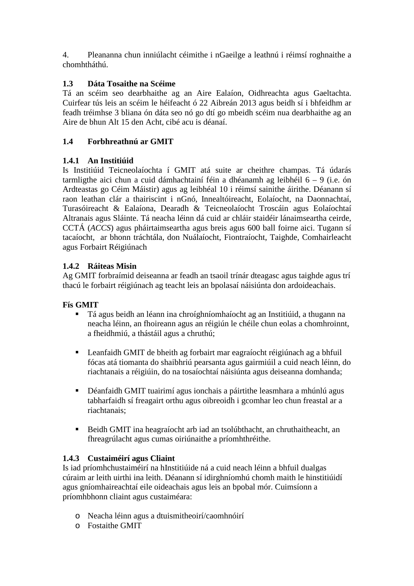4. Pleananna chun inniúlacht céimithe i nGaeilge a leathnú i réimsí roghnaithe a chomhtháthú.

# **1.3 Dáta Tosaithe na Scéime**

Tá an scéim seo dearbhaithe ag an Aire Ealaíon, Oidhreachta agus Gaeltachta. Cuirfear tús leis an scéim le héifeacht ó 22 Aibreán 2013 agus beidh sí i bhfeidhm ar feadh tréimhse 3 bliana ón dáta seo nó go dtí go mbeidh scéim nua dearbhaithe ag an Aire de bhun Alt 15 den Acht, cibé acu is déanaí.

# **1.4 Forbhreathnú ar GMIT**

# **1.4.1 An Institiúid**

Is Institiúid Teicneolaíochta í GMIT atá suite ar cheithre champas. Tá údarás tarmligthe aici chun a cuid dámhachtainí féin a dhéanamh ag leibhéil 6 – 9 (i.e. ón Ardteastas go Céim Máistir) agus ag leibhéal 10 i réimsí sainithe áirithe. Déanann sí raon leathan clár a thairiscint i nGnó, Innealtóireacht, Eolaíocht, na Daonnachtaí, Turasóireacht & Ealaíona, Dearadh & Teicneolaíocht Troscáin agus Eolaíochtaí Altranais agus Sláinte. Tá neacha léinn dá cuid ar chláir staidéir lánaimseartha ceirde, CCTÁ (*ACCS*) agus pháirtaimseartha agus breis agus 600 ball foirne aici. Tugann sí tacaíocht, ar bhonn tráchtála, don Nuálaíocht, Fiontraíocht, Taighde, Comhairleacht agus Forbairt Réigiúnach

# **1.4.2 Ráiteas Misin**

Ag GMIT forbraímid deiseanna ar feadh an tsaoil trínár dteagasc agus taighde agus trí thacú le forbairt réigiúnach ag teacht leis an bpolasaí náisiúnta don ardoideachais.

# **Fís GMIT**

- Tá agus beidh an léann ina chroíghníomhaíocht ag an Institiúid, a thugann na neacha léinn, an fhoireann agus an réigiún le chéile chun eolas a chomhroinnt, a fheidhmiú, a thástáil agus a chruthú;
- Leanfaidh GMIT de bheith ag forbairt mar eagraíocht réigiúnach ag a bhfuil fócas atá tiomanta do shaibhriú pearsanta agus gairmiúil a cuid neach léinn, do riachtanais a réigiúin, do na tosaíochtaí náisiúnta agus deiseanna domhanda;
- Déanfaidh GMIT tuairimí agus ionchais a páirtithe leasmhara a mhúnlú agus tabharfaidh sí freagairt orthu agus oibreoidh i gcomhar leo chun freastal ar a riachtanais;
- Beidh GMIT ina heagraíocht arb iad an tsolúbthacht, an chruthaitheacht, an fhreagrúlacht agus cumas oiriúnaithe a príomhthréithe.

# **1.4.3 Custaiméirí agus Cliaint**

Is iad príomhchustaiméirí na hInstitiúide ná a cuid neach léinn a bhfuil dualgas cúraim ar leith uirthi ina leith. Déanann sí idirghníomhú chomh maith le hinstitiúidí agus gníomhaireachtaí eile oideachais agus leis an bpobal mór. Cuimsíonn a príomhbhonn cliaint agus custaiméara:

- o Neacha léinn agus a dtuismitheoirí/caomhnóirí
- o Fostaithe GMIT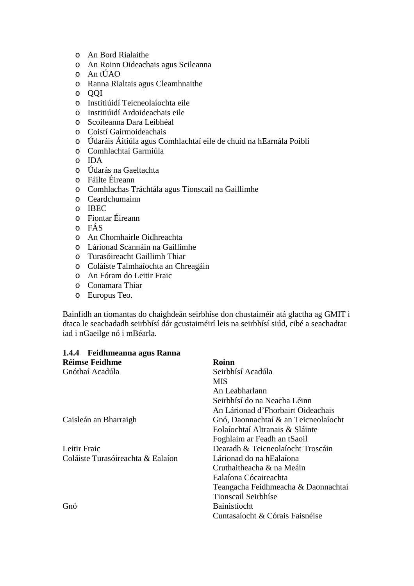- o An Bord Rialaithe
- o An Roinn Oideachais agus Scileanna
- o An tÚAO
- o Ranna Rialtais agus Cleamhnaithe
- o QQI
- o Institiúidí Teicneolaíochta eile
- o Institiúidí Ardoideachais eile
- o Scoileanna Dara Leibhéal
- o Coistí Gairmoideachais
- o Údaráis Áitiúla agus Comhlachtaí eile de chuid na hEarnála Poiblí
- o Comhlachtaí Garmiúla
- o IDA
- o Údarás na Gaeltachta
- o Fáilte Éireann
- o Comhlachas Tráchtála agus Tionscail na Gaillimhe
- o Ceardchumainn
- o IBEC
- o Fiontar Éireann
- o FÁS
- o An Chomhairle Oidhreachta
- o Lárionad Scannáin na Gaillimhe
- o Turasóireacht Gaillimh Thiar
- o Coláiste Talmhaíochta an Chreagáin
- o An Fóram do Leitir Fraic
- o Conamara Thiar
- o Europus Teo.

Bainfidh an tiomantas do chaighdeán seirbhíse don chustaiméir atá glactha ag GMIT i dtaca le seachadadh seirbhísí dár gcustaiméirí leis na seirbhísí siúd, cibé a seachadtar iad i nGaeilge nó i mBéarla.

| 1.4.4 Feidhmeanna agus Ranna      |                                      |
|-----------------------------------|--------------------------------------|
| <b>Réimse Feidhme</b>             | <b>Roinn</b>                         |
| Gnóthaí Acadúla                   | Seirbhísí Acadúla                    |
|                                   | MIS.                                 |
|                                   | An Leabharlann                       |
|                                   | Seirbhísí do na Neacha Léinn         |
|                                   | An Lárionad d'Fhorbairt Oideachais   |
| Caisleán an Bharraigh             | Gnó, Daonnachtaí & an Teicneolaíocht |
|                                   | Eolaíochtaí Altranais & Sláinte      |
|                                   | Foghlaim ar Feadh an tSaoil          |
| Leitir Fraic                      | Dearadh & Teicneolaíocht Troscáin    |
| Coláiste Turasóireachta & Ealaíon | Lárionad do na hEalaíona             |
|                                   | Cruthaitheacha & na Meáin            |
|                                   | Ealaíona Cócaireachta                |
|                                   | Teangacha Feidhmeacha & Daonnachtaí  |
|                                   | Tionscail Seirbhíse                  |
| Gnó                               | Bainistíocht                         |
|                                   | Cuntasaíocht & Córais Faisnéise      |
|                                   |                                      |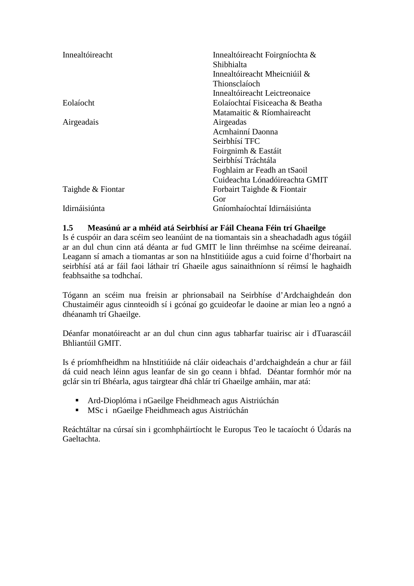| Innealtóireacht   | Innealtóireacht Foirgníochta &<br>Shibhialta<br>Innealtóireacht Mheicniúil &<br>Thionsclaíoch<br>Innealtóireacht Leictreonaice |
|-------------------|--------------------------------------------------------------------------------------------------------------------------------|
| Eolaíocht         | Eolaíochtaí Fisiceacha & Beatha                                                                                                |
|                   | Matamaitic & Ríomhaireacht                                                                                                     |
| Airgeadais        | Airgeadas                                                                                                                      |
|                   | Acmhainní Daonna                                                                                                               |
|                   | Seirbhísí TFC                                                                                                                  |
|                   | Foirgnimh & Eastáit                                                                                                            |
|                   | Seirbhísí Tráchtála                                                                                                            |
|                   | Foghlaim ar Feadh an tSaoil                                                                                                    |
|                   | Cuideachta Lónadóireachta GMIT                                                                                                 |
| Taighde & Fiontar | Forbairt Taighde & Fiontair                                                                                                    |
|                   | Gor                                                                                                                            |
| Idirnáisiúnta     | Gníomhaíochtaí Idirnáisiúnta                                                                                                   |

#### **1.5 Measúnú ar a mhéid atá Seirbhísí ar Fáil Cheana Féin trí Ghaeilge**

Is é cuspóir an dara scéim seo leanúint de na tiomantais sin a sheachadadh agus tógáil ar an dul chun cinn atá déanta ar fud GMIT le linn thréimhse na scéime deireanaí. Leagann sí amach a tiomantas ar son na hInstitiúide agus a cuid foirne d'fhorbairt na seirbhísí atá ar fáil faoi láthair trí Ghaeile agus sainaithníonn sí réimsí le haghaidh feabhsaithe sa todhchaí.

Tógann an scéim nua freisin ar phrionsabail na Seirbhíse d'Ardchaighdeán don Chustaiméir agus cinnteoidh sí i gcónaí go gcuideofar le daoine ar mian leo a ngnó a dhéanamh trí Ghaeilge.

Déanfar monatóireacht ar an dul chun cinn agus tabharfar tuairisc air i dTuarascáil Bhliantúil GMIT.

Is é príomhfheidhm na hInstitiúide ná cláir oideachais d'ardchaighdeán a chur ar fáil dá cuid neach léinn agus leanfar de sin go ceann i bhfad. Déantar formhór mór na gclár sin trí Bhéarla, agus tairgtear dhá chlár trí Ghaeilge amháin, mar atá:

- Ard-Dioplóma i nGaeilge Fheidhmeach agus Aistriúchán
- MSc i nGaeilge Fheidhmeach agus Aistriúchán

Reáchtáltar na cúrsaí sin i gcomhpháirtíocht le Europus Teo le tacaíocht ó Údarás na Gaeltachta.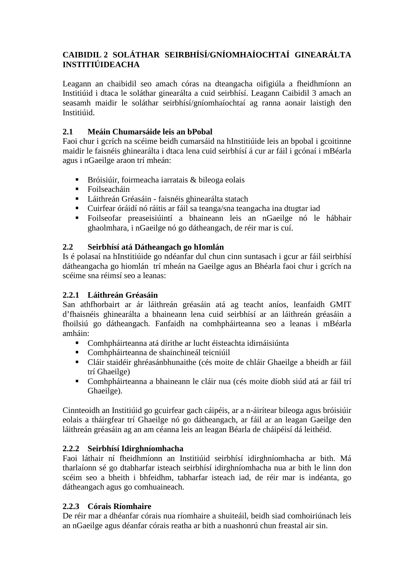# **CAIBIDIL 2 SOLÁTHAR SEIRBHÍSÍ/GNÍOMHAÍOCHTAÍ GINEARÁLTA INSTITIÚIDEACHA**

Leagann an chaibidil seo amach córas na dteangacha oifigiúla a fheidhmíonn an Institiúid i dtaca le soláthar ginearálta a cuid seirbhísí. Leagann Caibidil 3 amach an seasamh maidir le soláthar seirbhísí/gníomhaíochtaí ag ranna aonair laistigh den Institiúid.

## **2.1 Meáin Chumarsáide leis an bPobal**

Faoi chur i gcrích na scéime beidh cumarsáid na hInstitiúide leis an bpobal i gcoitinne maidir le faisnéis ghinearálta i dtaca lena cuid seirbhísí á cur ar fáil i gcónaí i mBéarla agus i nGaeilge araon trí mheán:

- Bróisiúir, foirmeacha iarratais  $\&$  bileoga eolais
- Foilseacháin
- Láithreán Gréasáin faisnéis ghinearálta statach
- Cuirfear óráidí nó ráitis ar fáil sa teanga/sna teangacha ina dtugtar iad
- Foilseofar preaseisiúintí a bhaineann leis an nGaeilge nó le hábhair ghaolmhara, i nGaeilge nó go dátheangach, de réir mar is cuí.

### **2.2 Seirbhísí atá Dátheangach go hIomlán**

Is é polasaí na hInstitiúide go ndéanfar dul chun cinn suntasach i gcur ar fáil seirbhísí dátheangacha go hiomlán trí mheán na Gaeilge agus an Bhéarla faoi chur i gcrích na scéime sna réimsí seo a leanas:

### **2.2.1 Láithreán Gréasáin**

San athfhorbairt ar ár láithreán gréasáin atá ag teacht aníos, leanfaidh GMIT d'fhaisnéis ghinearálta a bhaineann lena cuid seirbhísí ar an láithreán gréasáin a fhoilsiú go dátheangach. Fanfaidh na comhpháirteanna seo a leanas i mBéarla amháin:

- Comhpháirteanna atá dírithe ar lucht éisteachta idirnáisiúnta
- Comhpháirteanna de shainchineál teicniúil
- Cláir staidéir ghréasánbhunaithe (cés moite de chláir Ghaeilge a bheidh ar fáil trí Ghaeilge)
- Comhpháirteanna a bhaineann le cláir nua (cés moite díobh siúd atá ar fáil trí Ghaeilge).

Cinnteoidh an Institiúid go gcuirfear gach cáipéis, ar a n-áirítear bileoga agus bróisiúir eolais a tháirgfear trí Ghaeilge nó go dátheangach, ar fáil ar an leagan Gaeilge den láithreán gréasáin ag an am céanna leis an leagan Béarla de cháipéisí dá leithéid.

### **2.2.2 Seirbhísí Idirghníomhacha**

Faoi láthair ní fheidhmíonn an Institiúid seirbhísí idirghníomhacha ar bith. Má tharlaíonn sé go dtabharfar isteach seirbhísí idirghníomhacha nua ar bith le linn don scéim seo a bheith i bhfeidhm, tabharfar isteach iad, de réir mar is indéanta, go dátheangach agus go comhuaineach.

### **2.2.3 Córais Ríomhaire**

De réir mar a dhéanfar córais nua ríomhaire a shuiteáil, beidh siad comhoiriúnach leis an nGaeilge agus déanfar córais reatha ar bith a nuashonrú chun freastal air sin.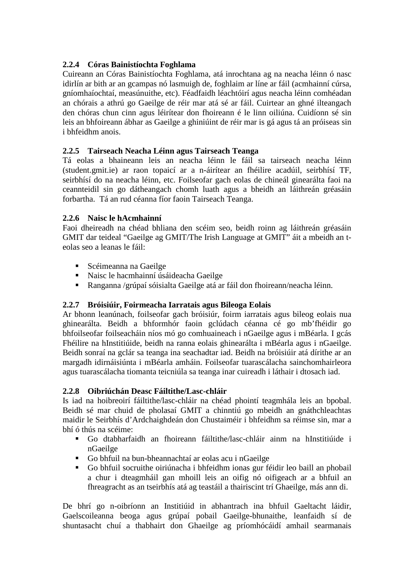# **2.2.4 Córas Bainistíochta Foghlama**

Cuireann an Córas Bainistíochta Foghlama, atá inrochtana ag na neacha léinn ó nasc idirlín ar bith ar an gcampas nó lasmuigh de, foghlaim ar líne ar fáil (acmhainní cúrsa, gníomhaíochtaí, measúnuithe, etc). Féadfaidh léachtóirí agus neacha léinn comhéadan an chórais a athrú go Gaeilge de réir mar atá sé ar fáil. Cuirtear an ghné ilteangach den chóras chun cinn agus léirítear don fhoireann é le linn oiliúna. Cuidíonn sé sin leis an bhfoireann ábhar as Gaeilge a ghiniúint de réir mar is gá agus tá an próiseas sin i bhfeidhm anois.

### **2.2.5 Tairseach Neacha Léinn agus Tairseach Teanga**

Tá eolas a bhaineann leis an neacha léinn le fáil sa tairseach neacha léinn (student.gmit.ie) ar raon topaicí ar a n-áirítear an fhéilire acadúil, seirbhísí TF, seirbhísí do na neacha léinn, etc. Foilseofar gach eolas de chineál ginearálta faoi na ceannteidil sin go dátheangach chomh luath agus a bheidh an láithreán gréasáin forbartha. Tá an rud céanna fíor faoin Tairseach Teanga.

### **2.2.6 Naisc le hAcmhainní**

Faoi dheireadh na chéad bhliana den scéim seo, beidh roinn ag láithreán gréasáin GMIT dar teideal "Gaeilge ag GMIT/The Irish Language at GMIT" áit a mbeidh an teolas seo a leanas le fáil:

- Scéimeanna na Gaeilge
- Naisc le hacmhainní úsáideacha Gaeilge
- Ranganna /grúpaí sóisialta Gaeilge atá ar fáil don fhoireann/neacha léinn.

### **2.2.7 Bróisiúir, Foirmeacha Iarratais agus Bileoga Eolais**

Ar bhonn leanúnach, foilseofar gach bróisiúr, foirm iarratais agus bileog eolais nua ghinearálta. Beidh a bhformhór faoin gclúdach céanna cé go mb'fhéidir go bhfoilseofar foilseacháin níos mó go comhuaineach i nGaeilge agus i mBéarla. I gcás Fhéilire na hInstitiúide, beidh na ranna eolais ghinearálta i mBéarla agus i nGaeilge. Beidh sonraí na gclár sa teanga ina seachadtar iad. Beidh na bróisiúir atá dírithe ar an margadh idirnáisiúnta i mBéarla amháin. Foilseofar tuarascálacha sainchomhairleora agus tuarascálacha tiomanta teicniúla sa teanga inar cuireadh i láthair i dtosach iad.

### **2.2.8 Oibriúchán Deasc Fáiltithe/Lasc-chláir**

Is iad na hoibreoirí fáiltithe/lasc-chláir na chéad phointí teagmhála leis an bpobal. Beidh sé mar chuid de pholasaí GMIT a chinntiú go mbeidh an gnáthchleachtas maidir le Seirbhís d'Ardchaighdeán don Chustaiméir i bhfeidhm sa réimse sin, mar a bhí ó thús na scéime:

- Go dtabharfaidh an fhoireann fáiltithe/lasc-chláir ainm na hInstitiúide i nGaeilge
- Go bhfuil na bun-bheannachtaí ar eolas acu i nGaeilge
- Go bhfuil socruithe oiriúnacha i bhfeidhm ionas gur féidir leo baill an phobail a chur i dteagmháil gan mhoill leis an oifig nó oifigeach ar a bhfuil an fhreagracht as an tseirbhís atá ag teastáil a thairiscint trí Ghaeilge, más ann di.

De bhrí go n-oibríonn an Institiúid in abhantrach ina bhfuil Gaeltacht láidir, Gaelscoileanna beoga agus grúpaí pobail Gaeilge-bhunaithe, leanfaidh sí de shuntasacht chuí a thabhairt don Ghaeilge ag príomhócáidí amhail searmanais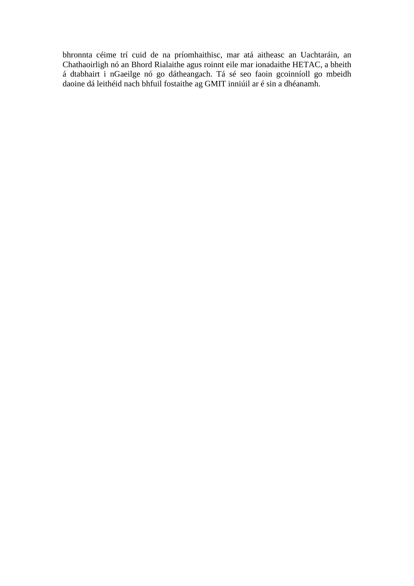bhronnta céime trí cuid de na príomhaithisc, mar atá aitheasc an Uachtaráin, an Chathaoirligh nó an Bhord Rialaithe agus roinnt eile mar ionadaithe HETAC, a bheith á dtabhairt i nGaeilge nó go dátheangach. Tá sé seo faoin gcoinníoll go mbeidh daoine dá leithéid nach bhfuil fostaithe ag GMIT inniúil ar é sin a dhéanamh.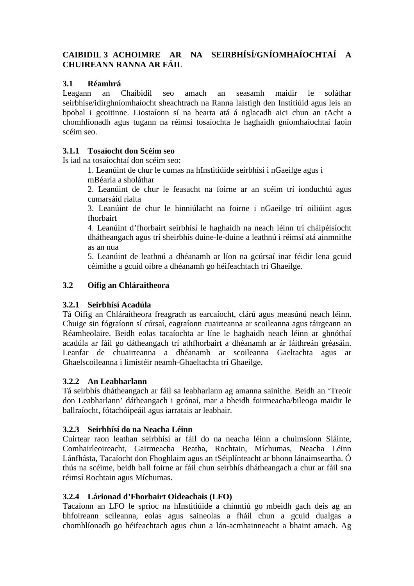# **CAIBIDIL 3 ACHOIMRE AR NA SEIRBHÍSÍ/GNÍOMHAÍOCHTAÍ A CHUIREANN RANNA AR FÁIL**

### **3.1 Réamhrá**

Leagann an Chaibidil seo amach an seasamh maidir le soláthar seirbhíse/idirghníomhaíocht sheachtrach na Ranna laistigh den Institiúid agus leis an bpobal i gcoitinne. Liostaíonn sí na bearta atá á nglacadh aici chun an tAcht a chomhlíonadh agus tugann na réimsí tosaíochta le haghaidh gníomhaíochtaí faoin scéim seo.

### **3.1.1 Tosaíocht don Scéim seo**

Is iad na tosaíochtaí don scéim seo:

 1. Leanúint de chur le cumas na hInstitiúide seirbhísí i nGaeilge agus i mBéarla a sholáthar

 2. Leanúint de chur le feasacht na foirne ar an scéim trí ionduchtú agus cumarsáid rialta

 3. Leanúint de chur le hinniúlacht na foirne i nGaeilge trí oiliúint agus fhorbairt

 4. Leanúint d'fhorbairt seirbhísí le haghaidh na neach léinn trí cháipéisíocht dhátheangach agus trí sheirbhís duine-le-duine a leathnú i réimsí atá ainmnithe as an nua

 5. Leanúint de leathnú a dhéanamh ar líon na gcúrsaí inar féidir lena gcuid céimithe a gcuid oibre a dhéanamh go héifeachtach trí Ghaeilge.

### **3.2 Oifig an Chláraitheora**

### **3.2.1 Seirbhísí Acadúla**

Tá Oifig an Chláraitheora freagrach as earcaíocht, clárú agus measúnú neach léinn. Chuige sin fógraíonn sí cúrsaí, eagraíonn cuairteanna ar scoileanna agus táirgeann an Réamheolaire. Beidh eolas tacaíochta ar líne le haghaidh neach léinn ar ghnóthaí acadúla ar fáil go dátheangach trí athfhorbairt a dhéanamh ar ár láithreán gréasáin. Leanfar de chuairteanna a dhéanamh ar scoileanna Gaeltachta agus ar Ghaelscoileanna i limistéir neamh-Ghaeltachta trí Ghaeilge.

### **3.2.2 An Leabharlann**

Tá seirbhís dhátheangach ar fáil sa leabharlann ag amanna sainithe. Beidh an 'Treoir don Leabharlann' dátheangach i gcónaí, mar a bheidh foirmeacha/bileoga maidir le ballraíocht, fótachóipeáil agus iarratais ar leabhair.

### **3.2.3 Seirbhísí do na Neacha Léinn**

Cuirtear raon leathan seirbhísí ar fáil do na neacha léinn a chuimsíonn Sláinte, Comhairleoireacht, Gairmeacha Beatha, Rochtain, Míchumas, Neacha Léinn Lánfhásta, Tacaíocht don Fhoghlaim agus an tSéiplínteacht ar bhonn lánaimseartha. Ó thús na scéime, beidh ball foirne ar fáil chun seirbhís dhátheangach a chur ar fáil sna réimsí Rochtain agus Míchumas.

# **3.2.4 Lárionad d'Fhorbairt Oideachais (LFO)**

Tacaíonn an LFO le sprioc na hInstitiúide a chinntiú go mbeidh gach deis ag an bhfoireann scileanna, eolas agus saineolas a fháil chun a gcuid dualgas a chomhlíonadh go héifeachtach agus chun a lán-acmhainneacht a bhaint amach. Ag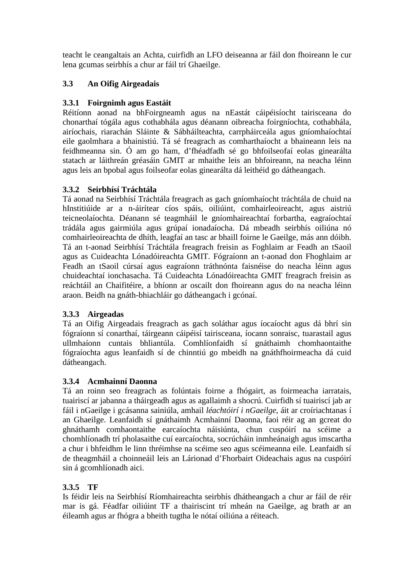teacht le ceangaltais an Achta, cuirfidh an LFO deiseanna ar fáil don fhoireann le cur lena gcumas seirbhís a chur ar fáil trí Ghaeilge.

## **3.3 An Oifig Airgeadais**

### **3.3.1 Foirgnimh agus Eastáit**

Réitíonn aonad na bhFoirgneamh agus na nEastát cáipéisíocht tairisceana do chonarthaí tógála agus cothabhála agus déanann oibreacha foirgníochta, cothabhála, airíochais, riarachán Sláinte & Sábháilteachta, carrpháirceála agus gníomhaíochtaí eile gaolmhara a bhainistiú. Tá sé freagrach as comharthaíocht a bhaineann leis na feidhmeanna sin. Ó am go ham, d'fhéadfadh sé go bhfoilseofaí eolas ginearálta statach ar láithreán gréasáin GMIT ar mhaithe leis an bhfoireann, na neacha léinn agus leis an bpobal agus foilseofar eolas ginearálta dá leithéid go dátheangach.

### **3.3.2 Seirbhísí Tráchtála**

Tá aonad na Seirbhísí Tráchtála freagrach as gach gníomhaíocht tráchtála de chuid na hInstitiúide ar a n-áirítear cíos spáis, oiliúint, comhairleoireacht, agus aistriú teicneolaíochta. Déanann sé teagmháil le gníomhaireachtaí forbartha, eagraíochtaí trádála agus gairmiúla agus grúpaí ionadaíocha. Dá mbeadh seirbhís oiliúna nó comhairleoireachta de dhíth, leagfaí an tasc ar bhaill foirne le Gaeilge, más ann dóibh. Tá an t-aonad Seirbhísí Tráchtála freagrach freisin as Foghlaim ar Feadh an tSaoil agus as Cuideachta Lónadóireachta GMIT. Fógraíonn an t-aonad don Fhoghlaim ar Feadh an tSaoil cúrsaí agus eagraíonn tráthnónta faisnéise do neacha léinn agus chuideachtaí ionchasacha. Tá Cuideachta Lónadóireachta GMIT freagrach freisin as reáchtáil an Chaifitéire, a bhíonn ar oscailt don fhoireann agus do na neacha léinn araon. Beidh na gnáth-bhiachláir go dátheangach i gcónaí.

### **3.3.3 Airgeadas**

Tá an Oifig Airgeadais freagrach as gach soláthar agus íocaíocht agus dá bhrí sin fógraíonn sí conarthaí, táirgeann cáipéisí tairisceana, íocann sonraisc, tuarastail agus ullmhaíonn cuntais bhliantúla. Comhlíonfaidh sí gnáthaimh chomhaontaithe fógraíochta agus leanfaidh sí de chinntiú go mbeidh na gnáthfhoirmeacha dá cuid dátheangach.

### **3.3.4 Acmhainní Daonna**

Tá an roinn seo freagrach as folúntais foirne a fhógairt, as foirmeacha iarratais, tuairiscí ar jabanna a tháirgeadh agus as agallaimh a shocrú. Cuirfidh sí tuairiscí jab ar fáil i nGaeilge i gcásanna sainiúla, amhail *léachtóirí i nGaeilge*, áit ar croíriachtanas í an Ghaeilge. Leanfaidh sí gnáthaimh Acmhainní Daonna, faoi réir ag an gcreat do ghnáthamh comhaontaithe earcaíochta náisiúnta, chun cuspóirí na scéime a chomhlíonadh trí pholasaithe cuí earcaíochta, socrúcháin inmheánaigh agus imscartha a chur i bhfeidhm le linn thréimhse na scéime seo agus scéimeanna eile. Leanfaidh sí de theagmháil a choinneáil leis an Lárionad d'Fhorbairt Oideachais agus na cuspóirí sin á gcomhlíonadh aici.

# **3.3.5 TF**

Is féidir leis na Seirbhísí Ríomhaireachta seirbhís dhátheangach a chur ar fáil de réir mar is gá. Féadfar oiliúint TF a thairiscint trí mheán na Gaeilge, ag brath ar an éileamh agus ar fhógra a bheith tugtha le nótaí oiliúna a réiteach.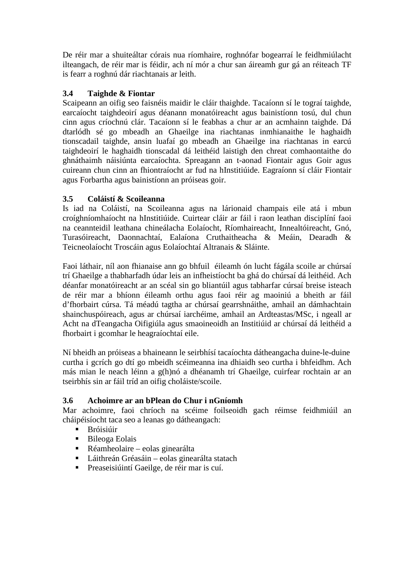De réir mar a shuiteáltar córais nua ríomhaire, roghnófar bogearraí le feidhmiúlacht ilteangach, de réir mar is féidir, ach ní mór a chur san áireamh gur gá an réiteach TF is fearr a roghnú dár riachtanais ar leith.

# **3.4 Taighde & Fiontar**

Scaipeann an oifig seo faisnéis maidir le cláir thaighde. Tacaíonn sí le tograí taighde, earcaíocht taighdeoirí agus déanann monatóireacht agus bainistíonn tosú, dul chun cinn agus críochnú clár. Tacaíonn sí le feabhas a chur ar an acmhainn taighde. Dá dtarlódh sé go mbeadh an Ghaeilge ina riachtanas inmhianaithe le haghaidh tionscadail taighde, ansin luafaí go mbeadh an Ghaeilge ina riachtanas in earcú taighdeoirí le haghaidh tionscadal dá leithéid laistigh den chreat comhaontaithe do ghnáthaimh náisiúnta earcaíochta. Spreagann an t-aonad Fiontair agus Goir agus cuireann chun cinn an fhiontraíocht ar fud na hInstitiúide. Eagraíonn sí cláir Fiontair agus Forbartha agus bainistíonn an próiseas goir.

### **3.5 Coláistí & Scoileanna**

Is iad na Coláistí, na Scoileanna agus na lárionaid champais eile atá i mbun croíghníomhaíocht na hInstitiúide. Cuirtear cláir ar fáil i raon leathan disciplíní faoi na ceannteidil leathana chineálacha Eolaíocht, Ríomhaireacht, Innealtóireacht, Gnó, Turasóireacht, Daonnachtaí, Ealaíona Cruthaitheacha & Meáin, Dearadh & Teicneolaíocht Troscáin agus Eolaíochtaí Altranais & Sláinte.

Faoi láthair, níl aon fhianaise ann go bhfuil éileamh ón lucht fágála scoile ar chúrsaí trí Ghaeilge a thabharfadh údar leis an infheistíocht ba ghá do chúrsaí dá leithéid. Ach déanfar monatóireacht ar an scéal sin go bliantúil agus tabharfar cúrsaí breise isteach de réir mar a bhíonn éileamh orthu agus faoi réir ag maoiniú a bheith ar fáil d'fhorbairt cúrsa. Tá méadú tagtha ar chúrsaí gearrshnáithe, amhail an dámhachtain shainchuspóireach, agus ar chúrsaí iarchéime, amhail an Ardteastas/MSc, i ngeall ar Acht na dTeangacha Oifigiúla agus smaoineoidh an Institiúid ar chúrsaí dá leithéid a fhorbairt i gcomhar le heagraíochtaí eile.

Ní bheidh an próiseas a bhaineann le seirbhísí tacaíochta dátheangacha duine-le-duine curtha i gcrích go dtí go mbeidh scéimeanna ina dhiaidh seo curtha i bhfeidhm. Ach más mian le neach léinn a g(h)nó a dhéanamh trí Ghaeilge, cuirfear rochtain ar an tseirbhís sin ar fáil tríd an oifig choláiste/scoile.

### **3.6 Achoimre ar an bPlean do Chur i nGníomh**

Mar achoimre, faoi chríoch na scéime foilseoidh gach réimse feidhmiúil an cháipéisíocht taca seo a leanas go dátheangach:

- Bróisiúir
- Bileoga Eolais
- Réamheolaire eolas ginearálta
- Láithreán Gréasáin eolas ginearálta statach
- Preaseisiúintí Gaeilge, de réir mar is cuí.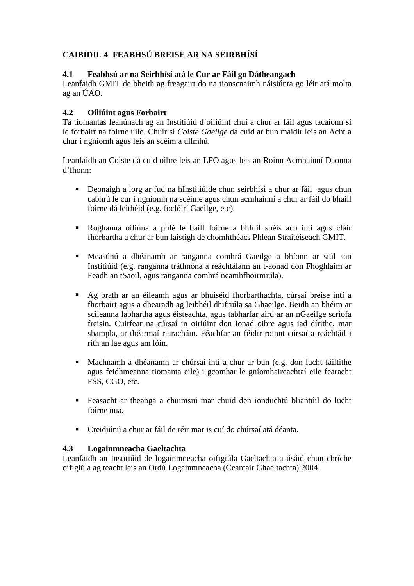# **CAIBIDIL 4 FEABHSÚ BREISE AR NA SEIRBHÍSÍ**

### **4.1 Feabhsú ar na Seirbhísí atá le Cur ar Fáil go Dátheangach**

Leanfaidh GMIT de bheith ag freagairt do na tionscnaimh náisiúnta go léir atá molta ag an ÚAO.

### **4.2 Oiliúint agus Forbairt**

Tá tiomantas leanúnach ag an Institiúid d'oiliúint chuí a chur ar fáil agus tacaíonn sí le forbairt na foirne uile. Chuir sí *Coiste Gaeilge* dá cuid ar bun maidir leis an Acht a chur i ngníomh agus leis an scéim a ullmhú.

Leanfaidh an Coiste dá cuid oibre leis an LFO agus leis an Roinn Acmhainní Daonna d'fhonn:

- Deonaigh a lorg ar fud na hInstitiúide chun seirbhísí a chur ar fáil agus chun cabhrú le cur i ngníomh na scéime agus chun acmhainní a chur ar fáil do bhaill foirne dá leithéid (e.g. foclóirí Gaeilge, etc).
- Roghanna oiliúna a phlé le baill foirne a bhfuil spéis acu inti agus cláir fhorbartha a chur ar bun laistigh de chomhthéacs Phlean Straitéiseach GMIT.
- Measúnú a dhéanamh ar ranganna comhrá Gaeilge a bhíonn ar siúl san Institiúid (e.g. ranganna tráthnóna a reáchtálann an t-aonad don Fhoghlaim ar Feadh an tSaoil, agus ranganna comhrá neamhfhoirmiúla).
- Ag brath ar an éileamh agus ar bhuiséid fhorbarthachta, cúrsaí breise intí a fhorbairt agus a dhearadh ag leibhéil dhifriúla sa Ghaeilge. Beidh an bhéim ar scileanna labhartha agus éisteachta, agus tabharfar aird ar an nGaeilge scríofa freisin. Cuirfear na cúrsaí in oiriúint don ionad oibre agus iad dírithe, mar shampla, ar théarmaí riaracháin. Féachfar an féidir roinnt cúrsaí a reáchtáil i rith an lae agus am lóin.
- Machnamh a dhéanamh ar chúrsaí intí a chur ar bun (e.g. don lucht fáiltithe agus feidhmeanna tiomanta eile) i gcomhar le gníomhaireachtaí eile fearacht FSS, CGO, etc.
- Feasacht ar theanga a chuimsiú mar chuid den ionduchtú bliantúil do lucht foirne nua.
- Creidiúnú a chur ar fáil de réir mar is cuí do chúrsaí atá déanta.

### **4.3 Logainmneacha Gaeltachta**

Leanfaidh an Institiúid de logainmneacha oifigiúla Gaeltachta a úsáid chun chríche oifigiúla ag teacht leis an Ordú Logainmneacha (Ceantair Ghaeltachta) 2004.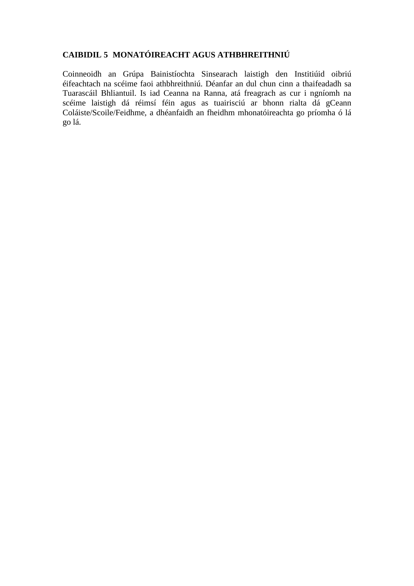### **CAIBIDIL 5 MONATÓIREACHT AGUS ATHBHREITHNIÚ**

Coinneoidh an Grúpa Bainistíochta Sinsearach laistigh den Institiúid oibriú éifeachtach na scéime faoi athbhreithniú. Déanfar an dul chun cinn a thaifeadadh sa Tuarascáil Bhliantuil. Is iad Ceanna na Ranna, atá freagrach as cur i ngníomh na scéime laistigh dá réimsí féin agus as tuairisciú ar bhonn rialta dá gCeann Coláiste/Scoile/Feidhme, a dhéanfaidh an fheidhm mhonatóireachta go príomha ó lá go lá.